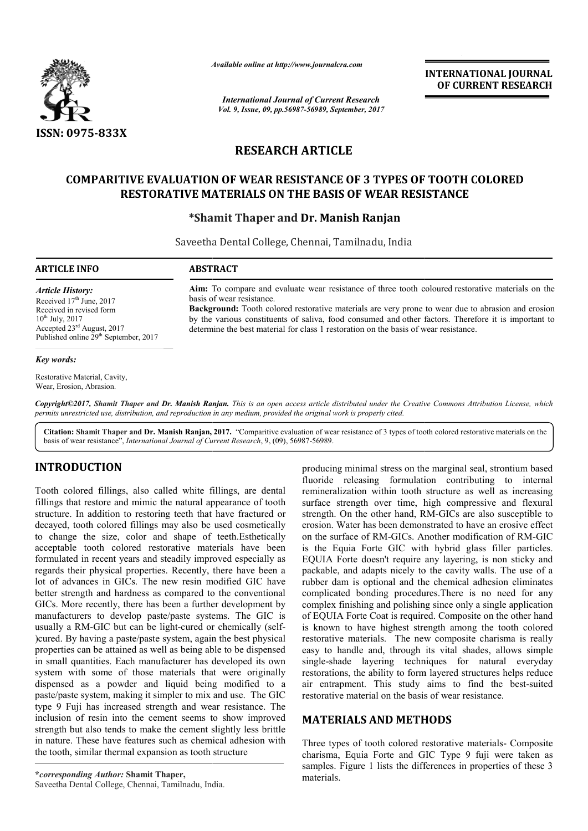

*Available online at http://www.journal http://www.journalcra.com*

*International Journal of Current Research Vol. 9, Issue, 09, pp.56987-56989, September, 2017* **INTERNATIONAL JOURNAL OF CURRENT RESEARCH** 

# **RESEARCH ARTICLE**

# **COMPARITIVE EVALUATION OF WEAR RESISTANCE OF 3 TYPES OF TOOTH COLORED**  COMPARITIVE EVALUATION OF WEAR RESISTANCE OF 3 TYPES OF TOOTH<br>RESTORATIVE MATERIALS ON THE BASIS OF WEAR RESISTANCE

## **\*Shamit Thaper and Dr. Manish Ranjan**

Saveetha Dental College, Chennai, Tamilnadu, India

Aim: To compare and evaluate wear resistance of three tooth coloured restorative materials on the

**Background:** Tooth colored restorative materials are very prone to wear due to abrasion and erosion by the various constituents of saliva, food consumed and other factors. Therefore it is important to

determine the best material for class 1 restoration on the basis of wear resistance.

Background: Tooth colored restorative materials are very prone to wear due to able by the various constituents of saliva, food consumed and other factors. Therefore determine the best material for class 1 restoration on th

#### **ARTICLE INFO ABSTRACT**

basis of wear resistance.

*Article History:* Received 17<sup>th</sup> June, 2017 Received in revised form  $10^{th}$  July,  $2017$ Accepted 23rd August, 2017 Published online 29<sup>th</sup> September, 2017

#### *Key words:*

Restorative Material, Cavity, Wear, Erosion, Abrasion.

*Copyright©2017, Shamit Thaper and Dr. Manish Ranjan Ranjan. This is an open access article distributed under the Creative Commons Att the Attribution License, which permits unrestricted use, distribution, and reproduction in any medium, provided the original work is properly cited.*

Citation: Shamit Thaper and Dr. Manish Ranjan, 2017. "Comparitive evaluation of wear resistance of 3 types of tooth colored restorative materials on the basis of wear resistance", *International Journal of Current Research* , 9, (09), 56987-56989.

## **INTRODUCTION**

Tooth colored fillings, also called white fillings, are dental fillings that restore and mimic the natural appearance of tooth structure. In addition to restoring teeth that have fractured or decayed, tooth colored fillings may also be used cosmetically to change the size, color and shape of teeth.Esthetically acceptable tooth colored restorative materials have been formulated in recent years and steadily improved especially as regards their physical properties. Recently, there have been a lot of advances in GICs. The new resin modified GIC have better strength and hardness as compared to the conventional GICs. More recently, there has been a further development by manufacturers to develop paste/paste systems. The GIC is manufacturers to develop paste/paste systems. The GIC is<br>usually a RM-GIC but can be light-cured or chemically (self-)cured. By having a paste/paste system, again the best physical properties can be attained as well as being able to be dispensed in small quantities. Each manufacturer has developed its own system with some of those materials that were originally dispensed as a powder and liquid being modified to a paste/paste system, making it simpler to mix and use. type 9 Fuji has increased strength and wear resistance. The inclusion of resin into the cement seems to show improved strength but also tends to make the cement slightly less brittle in nature. These have features such as chemical adhesion with the tooth, similar thermal expansion as tooth structure as developed its own<br>that were originally<br>eing modified to a<br>nix and use. The GIC

**TIRODUCTION**<br>
producing minimal stress on the marginal seal, strontium based<br>
fluored releasing formulation contributing to internal<br>
imagn that correct and mimic the natural appearance of tooth surface strength over time fluoride releasing formulation contributing to internal producing minimal stress on the marginal seal, strontium based<br>fluoride releasing formulation contributing to internal<br>remineralization within tooth structure as well as increasing surface strength over time, high compressive and flexural surface strength over time, high compressive and flexural strength. On the other hand, RM-GICs are also susceptible to erosion. Water has been demonstrated to have an erosive effect erosion. Water has been demonstrated to have an erosive effect<br>on the surface of RM-GICs. Another modification of RM-GIC is the Equia Forte GIC with hybrid glass filler particles. EQUIA Forte doesn't require any layering, is non sticky and packable, and adapts nicely to the cavity walls. The use of a rubber dam is optional and the chemical adhesion eliminates complicated bonding procedures. There is no need for any complex finishing and polishing since only a single application complex finishing and polishing since only a single application<br>of EQUIA Forte Coat is required. Composite on the other hand is known to have highest strength among the tooth colored restorative materials. The new composite charisma is really easy to handle and, through its vital shades, allows simple single-shade layering techniques for natural everyday restorations, the ability to form layered structures helps reduce easy to handle and, through its vital shades, allows simple single-shade layering techniques for natural everyday restorations, the ability to form layered structures helps reduce air entrapment. This study aims to find th restorative material on the basis of wear resistance. is the Equia Forte GIC with hybrid glass filler particles.<br>EQUIA Forte doesn't require any layering, is non sticky and packable, and adapts nicely to the cavity walls. The use of a rubber dam is optional and the chemical a

# **MATERIALS AND METHOD METHODS**

Three types of tooth colored restorative materials- Composite charisma, Equia Forte and GIC Type 9 fuji were taken as charisma, Equia Forte and GIC Type 9 fuji were taken as samples. Figure 1 lists the differences in properties of these 3 materials.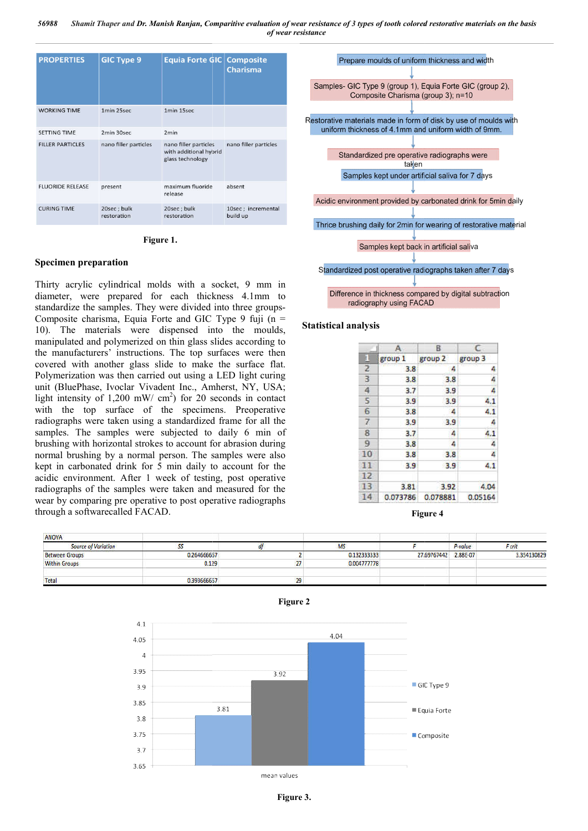| <b>PROPERTIES</b>       | <b>GIC Type 9</b>          | Equia Forte GIC Composite                                           | <b>Charisma</b>                |
|-------------------------|----------------------------|---------------------------------------------------------------------|--------------------------------|
| <b>WORKING TIME</b>     | 1min 25sec                 | 1min 15sec                                                          |                                |
| <b>SETTING TIME</b>     | 2min 30sec                 | 2 <sub>min</sub>                                                    |                                |
| <b>FILLER PARTICLES</b> | nano filler particles      | nano filler particles<br>with additional hybrid<br>glass technology | nano filler particles          |
| <b>FLUORIDE RELEASE</b> | present                    | maximum fluoride<br>release                                         | absent                         |
| <b>CURING TIME</b>      | 20sec; bulk<br>restoration | 20sec; bulk<br>restoration                                          | 10sec; incremental<br>build up |

**Figure 1.**

#### **Specimen preparation**

Thirty acrylic cylindrical molds with a socket, 9 mm in diameter, were prepared for each thickness 4.1mm to standardize the samples. They were divided into three groups-Composite charisma, Equia Forte and GIC Type 9 fuji  $(n =$ 10). The materials were dispensed into the moulds, manipulated and polymerized on thin glass slides according to the manufacturers' instructions. The top surfaces were then covered with another glass slide to make the surface flat. Polymerization was then carried out using a LED light curing unit (BluePhase, Ivoclar Vivadent Inc., Amherst, NY, USA; light intensity of  $1,200$  mW/ cm<sup>2</sup>) for 20 seconds in contact with the top surface of the specimens. Preoperative radiographs were taken using a standardized frame for all the samples. The samples were subjected to daily 6 min of brushing with horizontal strokes to account for abrasion during normal brushing by a normal person. The samples were also kept in carbonated drink for 5 min daily to account for the acidic environment. After 1 week of testing, post operative radiographs of the samples were taken and measured for the wear by comparing pre operative to post operative radiographs through a softwarecalled FACAD. er glass slide to make the surface flat.<br>then carried out using a LED light curing<br>oclar Vivadent Inc., Amherst, NY, USA;<br>200 mW/ cm<sup>2</sup>) for 20 seconds in contact<br>face of the specimens. Preoperative Frame and proper allows the samples of the moulds, the materials were dispensed into the moulds, anipulated and polymerized on thin glass slides according to the manufacturers' instructions. The top surfaces were then ver



|                | А        | B.       | C       |  |  |
|----------------|----------|----------|---------|--|--|
| E              | group 1  | group 2  | group 3 |  |  |
| $\overline{2}$ | 3.8      | 4        | 4       |  |  |
| 3              | 3.8      | 3.8      |         |  |  |
| $\overline{4}$ | 3.7      | 3.9      | 4       |  |  |
| 5              | 3.9      | 3.9      | 4.1     |  |  |
| 6              | 3.8      | 4        | 4.1     |  |  |
| $\overline{z}$ | 3.9      | 3.9      | 4       |  |  |
| 8              | 3.7      | 4        | 4.1     |  |  |
| 9              | 3.8      | 4        | 4       |  |  |
| 10             | 3.8      | 3.8      | 4       |  |  |
| 11             | 3.9      | 3.9      | 4.1     |  |  |
| 12             |          |          |         |  |  |
| 13             | 3.81     | 3.92     | 4.04    |  |  |
| 14             | 0.073786 | 0.078881 | 0.05164 |  |  |

**Figure Figure 4**

| <b>ANOVA</b>               |             |    | <b>MS</b>   |             | P-value  | F crit      |
|----------------------------|-------------|----|-------------|-------------|----------|-------------|
| <b>Source of Variation</b> | -           |    |             |             |          |             |
| <b>Between Groups</b>      | 0.264666667 |    | 0.132333333 | 27.69767442 | 2.88E-07 | 3.354130829 |
| <b>Within Groups</b>       | 0.129       |    | 0.004777778 |             |          |             |
| Total                      | 0.393666667 | 23 |             |             |          |             |

 $4.1$ 4.04 4.05  $\overline{A}$ 3.95  $392$ GIC Type 9 3.9 3.85 3.81 Fouja Forte 3.8 3.75 Composite  $3.7$ 3.65 mean values

**Figure 2**

**Figure 3.**